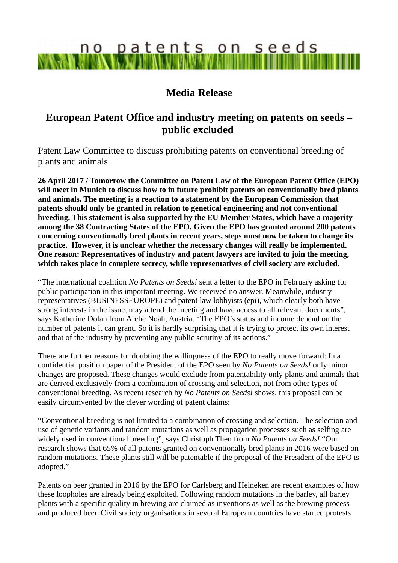# no patents on seeds

## **Media Release**

## **European Patent Office and industry meeting on patents on seeds – public excluded**

Patent Law Committee to discuss prohibiting patents on conventional breeding of plants and animals

**26 April 2017 / Tomorrow the Committee on Patent Law of the European Patent Office (EPO) will meet in Munich to discuss how to in future prohibit patents on conventionally bred plants and animals. The meeting is a reaction to a statement by the European Commission that patents should only be granted in relation to genetical engineering and not conventional breeding. This statement is also supported by the EU Member States, which have a majority among the 38 Contracting States of the EPO. Given the EPO has granted around 200 patents concerning conventionally bred plants in recent years, steps must now be taken to change its practice. However, it is unclear whether the necessary changes will really be implemented. One reason: Representatives of industry and patent lawyers are invited to join the meeting, which takes place in complete secrecy, while representatives of civil society are excluded.** 

"The international coalition *No Patents on Seeds!* sent a letter to the EPO in February asking for public participation in this important meeting. We received no answer. Meanwhile, industry representatives (BUSINESSEUROPE) and patent law lobbyists (epi), which clearly both have strong interests in the issue, may attend the meeting and have access to all relevant documents", says Katherine Dolan from Arche Noah, Austria. "The EPO's status and income depend on the number of patents it can grant. So it is hardly surprising that it is trying to protect its own interest and that of the industry by preventing any public scrutiny of its actions."

There are further reasons for doubting the willingness of the EPO to really move forward: In a confidential position paper of the President of the EPO seen by *No Patents on Seeds!* only minor changes are proposed. These changes would exclude from patentability only plants and animals that are derived exclusively from a combination of crossing and selection, not from other types of conventional breeding. As recent research by *No Patents on Seeds!* shows, this proposal can be easily circumvented by the clever wording of patent claims:

"Conventional breeding is not limited to a combination of crossing and selection. The selection and use of genetic variants and random mutations as well as propagation processes such as selfing are widely used in conventional breeding", says Christoph Then from *No Patents on Seeds!* "Our research shows that 65% of all patents granted on conventionally bred plants in 2016 were based on random mutations. These plants still will be patentable if the proposal of the President of the EPO is adopted."

Patents on beer granted in 2016 by the EPO for Carlsberg and Heineken are recent examples of how these loopholes are already being exploited. Following random mutations in the barley, all barley plants with a specific quality in brewing are claimed as inventions as well as the brewing process and produced beer. Civil society organisations in several European countries have started protests